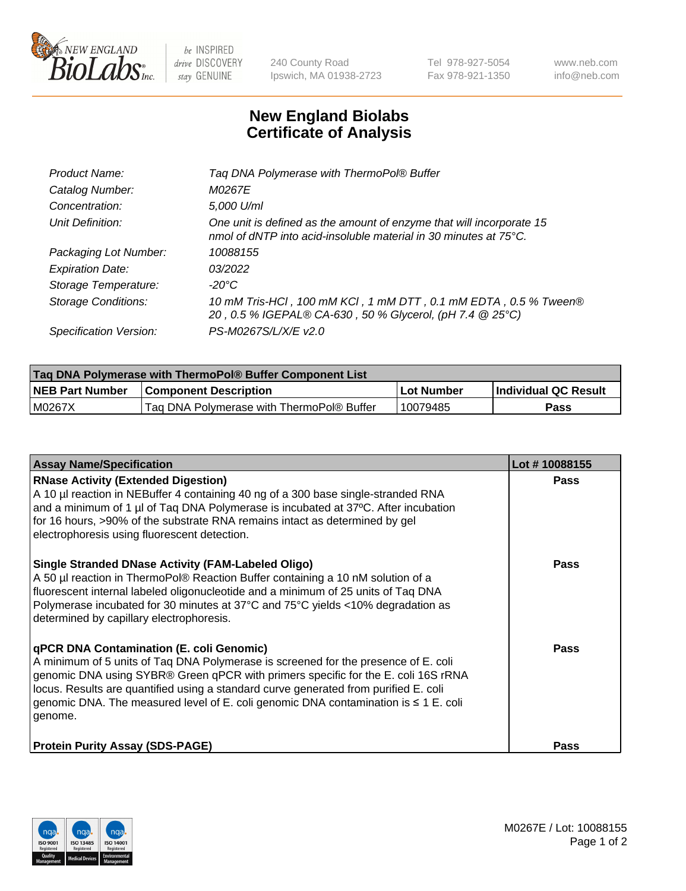

 $be$  INSPIRED drive DISCOVERY stay GENUINE

240 County Road Ipswich, MA 01938-2723 Tel 978-927-5054 Fax 978-921-1350 www.neb.com info@neb.com

## **New England Biolabs Certificate of Analysis**

| Product Name:              | Tag DNA Polymerase with ThermoPol® Buffer                                                                                                |
|----------------------------|------------------------------------------------------------------------------------------------------------------------------------------|
| Catalog Number:            | M0267E                                                                                                                                   |
| Concentration:             | 5,000 U/ml                                                                                                                               |
| Unit Definition:           | One unit is defined as the amount of enzyme that will incorporate 15<br>nmol of dNTP into acid-insoluble material in 30 minutes at 75°C. |
| Packaging Lot Number:      | 10088155                                                                                                                                 |
| <b>Expiration Date:</b>    | 03/2022                                                                                                                                  |
| Storage Temperature:       | $-20^{\circ}$ C                                                                                                                          |
| <b>Storage Conditions:</b> | 10 mM Tris-HCl, 100 mM KCl, 1 mM DTT, 0.1 mM EDTA, 0.5 % Tween®<br>20, 0.5 % IGEPAL® CA-630, 50 % Glycerol, (pH 7.4 @ 25°C)              |
| Specification Version:     | PS-M0267S/L/X/E v2.0                                                                                                                     |

| Taq DNA Polymerase with ThermoPol® Buffer Component List |                                           |            |                      |  |
|----------------------------------------------------------|-------------------------------------------|------------|----------------------|--|
| <b>NEB Part Number</b>                                   | <b>Component Description</b>              | Lot Number | Individual QC Result |  |
| M0267X                                                   | Tag DNA Polymerase with ThermoPol® Buffer | 10079485   | Pass                 |  |

| <b>Assay Name/Specification</b>                                                                                                                                                                                                                                                                                                                                                                               | Lot #10088155 |
|---------------------------------------------------------------------------------------------------------------------------------------------------------------------------------------------------------------------------------------------------------------------------------------------------------------------------------------------------------------------------------------------------------------|---------------|
| <b>RNase Activity (Extended Digestion)</b><br>A 10 µl reaction in NEBuffer 4 containing 40 ng of a 300 base single-stranded RNA<br>and a minimum of 1 µl of Taq DNA Polymerase is incubated at 37°C. After incubation<br>for 16 hours, >90% of the substrate RNA remains intact as determined by gel<br>electrophoresis using fluorescent detection.                                                          | <b>Pass</b>   |
| <b>Single Stranded DNase Activity (FAM-Labeled Oligo)</b><br>A 50 µl reaction in ThermoPol® Reaction Buffer containing a 10 nM solution of a<br>fluorescent internal labeled oligonucleotide and a minimum of 25 units of Taq DNA<br>Polymerase incubated for 30 minutes at 37°C and 75°C yields <10% degradation as<br>determined by capillary electrophoresis.                                              | <b>Pass</b>   |
| qPCR DNA Contamination (E. coli Genomic)<br>A minimum of 5 units of Taq DNA Polymerase is screened for the presence of E. coli<br>genomic DNA using SYBR® Green qPCR with primers specific for the E. coli 16S rRNA<br>locus. Results are quantified using a standard curve generated from purified E. coli<br>genomic DNA. The measured level of E. coli genomic DNA contamination is ≤ 1 E. coli<br>genome. | <b>Pass</b>   |
| <b>Protein Purity Assay (SDS-PAGE)</b>                                                                                                                                                                                                                                                                                                                                                                        | Pass          |